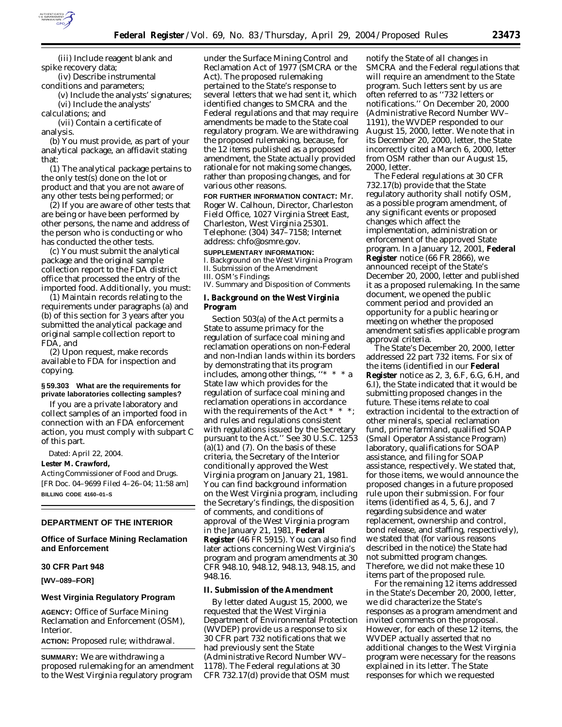

(iii) Include reagent blank and spike recovery data;

(iv) Describe instrumental conditions and parameters;

(v) Include the analysts' signatures;

(vi) Include the analysts' calculations; and

(vii) Contain a certificate of analysis.

(b) You must provide, as part of your analytical package, an affidavit stating that:

(1) The analytical package pertains to the only test(s) done on the lot or product and that you are not aware of any other tests being performed; or

(2) If you are aware of other tests that are being or have been performed by other persons, the name and address of the person who is conducting or who has conducted the other tests.

(c) You must submit the analytical package and the original sample collection report to the FDA district office that processed the entry of the imported food. Additionally, you must:

(1) Maintain records relating to the requirements under paragraphs (a) and (b) of this section for 3 years after you submitted the analytical package and original sample collection report to FDA, and

(2) Upon request, make records available to FDA for inspection and copying.

#### **§ 59.303 What are the requirements for private laboratories collecting samples?**

If you are a private laboratory and collect samples of an imported food in connection with an FDA enforcement action, you must comply with subpart C of this part.

Dated: April 22, 2004.

**Lester M. Crawford,**

*Acting Commissioner of Food and Drugs.* [FR Doc. 04–9699 Filed 4–26–04; 11:58 am] **BILLING CODE 4160–01–S**

### **DEPARTMENT OF THE INTERIOR**

**Office of Surface Mining Reclamation and Enforcement** 

#### **30 CFR Part 948**

**[WV–089–FOR]** 

#### **West Virginia Regulatory Program**

**AGENCY:** Office of Surface Mining Reclamation and Enforcement (OSM), Interior.

**ACTION:** Proposed rule; withdrawal.

**SUMMARY:** We are withdrawing a proposed rulemaking for an amendment to the West Virginia regulatory program

under the Surface Mining Control and Reclamation Act of 1977 (SMCRA or the Act). The proposed rulemaking pertained to the State's response to several letters that we had sent it, which identified changes to SMCRA and the Federal regulations and that may require amendments be made to the State coal regulatory program. We are withdrawing the proposed rulemaking, because, for the 12 items published as a proposed amendment, the State actually provided rationale for not making some changes, rather than proposing changes, and for various other reasons.

**FOR FURTHER INFORMATION CONTACT:** Mr. Roger W. Calhoun, Director, Charleston Field Office, 1027 Virginia Street East, Charleston, West Virginia 25301. Telephone: (304) 347–7158; Internet address: *chfo@osmre.gov.*

#### **SUPPLEMENTARY INFORMATION:**

I. Background on the West Virginia Program II. Submission of the Amendment III. OSM's Findings

IV. Summary and Disposition of Comments

# **I. Background on the West Virginia Program**

Section 503(a) of the Act permits a State to assume primacy for the regulation of surface coal mining and reclamation operations on non-Federal and non-Indian lands within its borders by demonstrating that its program includes, among other things, ''\* \* \* a State law which provides for the regulation of surface coal mining and reclamation operations in accordance with the requirements of the Act \* \* \*; and rules and regulations consistent with regulations issued by the Secretary pursuant to the Act.'' See 30 U.S.C. 1253  $(a)(1)$  and  $(7)$ . On the basis of these criteria, the Secretary of the Interior conditionally approved the West Virginia program on January 21, 1981. You can find background information on the West Virginia program, including the Secretary's findings, the disposition of comments, and conditions of approval of the West Virginia program in the January 21, 1981, **Federal Register** (46 FR 5915). You can also find later actions concerning West Virginia's program and program amendments at 30 CFR 948.10, 948.12, 948.13, 948.15, and 948.16.

### **II. Submission of the Amendment**

By letter dated August 15, 2000, we requested that the West Virginia Department of Environmental Protection (WVDEP) provide us a response to six 30 CFR part 732 notifications that we had previously sent the State (Administrative Record Number WV– 1178). The Federal regulations at 30 CFR 732.17(d) provide that OSM must

notify the State of all changes in SMCRA and the Federal regulations that will require an amendment to the State program. Such letters sent by us are often referred to as ''732 letters or notifications.'' On December 20, 2000 (Administrative Record Number WV– 1191), the WVDEP responded to our August 15, 2000, letter. We note that in its December 20, 2000, letter, the State incorrectly cited a March 6, 2000, letter from OSM rather than our August 15, 2000, letter.

The Federal regulations at 30 CFR 732.17(b) provide that the State regulatory authority shall notify OSM, as a possible program amendment, of any significant events or proposed changes which affect the implementation, administration or enforcement of the approved State program. In a January 12, 2001, **Federal Register** notice (66 FR 2866), we announced receipt of the State's December 20, 2000, letter and published it as a proposed rulemaking. In the same document, we opened the public comment period and provided an opportunity for a public hearing or meeting on whether the proposed amendment satisfies applicable program approval criteria.

The State's December 20, 2000, letter addressed 22 part 732 items. For six of the items (identified in our **Federal Register** notice as 2, 3, 6.F, 6.G, 6.H, and 6.I), the State indicated that it would be submitting proposed changes in the future. These items relate to coal extraction incidental to the extraction of other minerals, special reclamation fund, prime farmland, qualified SOAP (Small Operator Assistance Program) laboratory, qualifications for SOAP assistance, and filing for SOAP assistance, respectively. We stated that, for those items, we would announce the proposed changes in a future proposed rule upon their submission. For four items (identified as 4, 5, 6.J, and 7 regarding subsidence and water replacement, ownership and control, bond release, and staffing, respectively), we stated that (for various reasons described in the notice) the State had not submitted program changes. Therefore, we did not make these 10 items part of the proposed rule.

For the remaining 12 items addressed in the State's December 20, 2000, letter, we did characterize the State's responses as a program amendment and invited comments on the proposal. However, for each of these 12 items, the WVDEP actually asserted that no additional changes to the West Virginia program were necessary for the reasons explained in its letter. The State responses for which we requested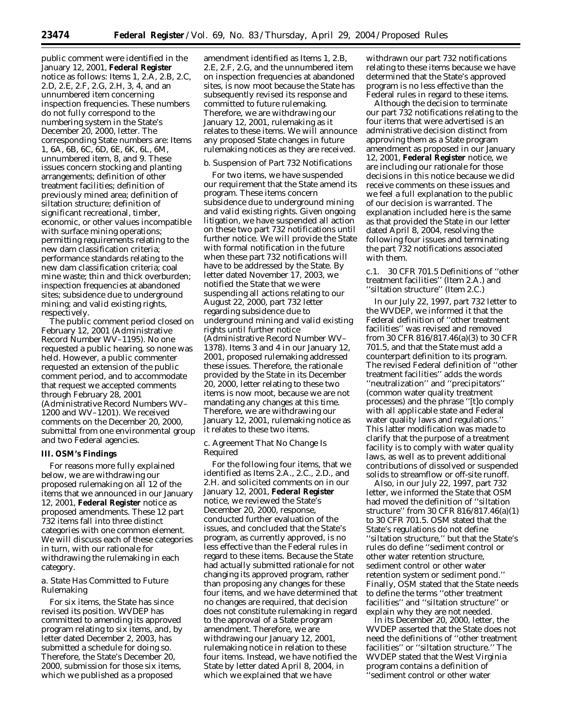public comment were identified in the January 12, 2001, **Federal Register** notice as follows: Items 1, 2.A, 2.B, 2.C, 2.D, 2.E, 2.F, 2.G, 2.H, 3, 4, and an unnumbered item concerning inspection frequencies. These numbers do not fully correspond to the numbering system in the State's December 20, 2000, letter. The corresponding State numbers are: Items 1, 6A, 6B, 6C, 6D, 6E, 6K, 6L, 6M, unnumbered item, 8, and 9. These issues concern stocking and planting arrangements; definition of other treatment facilities; definition of previously mined area; definition of siltation structure; definition of significant recreational, timber, economic, or other values incompatible with surface mining operations; permitting requirements relating to the new dam classification criteria; performance standards relating to the new dam classification criteria; coal mine waste; thin and thick overburden; inspection frequencies at abandoned sites; subsidence due to underground mining; and valid existing rights, respectively.

The public comment period closed on February 12, 2001 (Administrative Record Number WV–1195). No one requested a public hearing, so none was held. However, a public commenter requested an extension of the public comment period, and to accommodate that request we accepted comments through February 28, 2001 (Administrative Record Numbers WV– 1200 and WV–1201). We received comments on the December 20, 2000, submittal from one environmental group and two Federal agencies.

#### **III. OSM's Findings**

For reasons more fully explained below, we are withdrawing our proposed rulemaking on all 12 of the items that we announced in our January 12, 2001, **Federal Register** notice as proposed amendments. These 12 part 732 items fall into three distinct categories with one common element. We will discuss each of these categories in turn, with our rationale for withdrawing the rulemaking in each category.

## *a. State Has Committed to Future Rulemaking*

For six items, the State has since revised its position. WVDEP has committed to amending its approved program relating to six items, and, by letter dated December 2, 2003, has submitted a schedule for doing so. Therefore, the State's December 20, 2000, submission for those six items, which we published as a proposed

amendment identified as Items 1, 2.B, 2.E, 2.F, 2.G, and the unnumbered item on inspection frequencies at abandoned sites, is now moot because the State has subsequently revised its response and committed to future rulemaking. Therefore, we are withdrawing our January 12, 2001, rulemaking as it relates to these items. We will announce any proposed State changes in future rulemaking notices as they are received.

#### *b. Suspension of Part 732 Notifications*

For two items, we have suspended our requirement that the State amend its program. These items concern subsidence due to underground mining and valid existing rights. Given ongoing litigation, we have suspended all action on these two part 732 notifications until further notice. We will provide the State with formal notification in the future when these part 732 notifications will have to be addressed by the State. By letter dated November 17, 2003, we notified the State that we were suspending all actions relating to our August 22, 2000, part 732 letter regarding subsidence due to underground mining and valid existing rights until further notice (Administrative Record Number WV– 1378). Items 3 and 4 in our January 12, 2001, proposed rulemaking addressed these issues. Therefore, the rationale provided by the State in its December 20, 2000, letter relating to these two items is now moot, because we are not mandating any changes at this time. Therefore, we are withdrawing our January 12, 2001, rulemaking notice as it relates to these two items.

### *c. Agreement That No Change Is Required*

For the following four items, that we identified as Items 2.A., 2.C., 2.D., and 2.H. and solicited comments on in our January 12, 2001, **Federal Register** notice, we reviewed the State's December 20, 2000, response, conducted further evaluation of the issues, and concluded that the State's program, as currently approved, is no less effective than the Federal rules in regard to these items. Because the State had actually submitted rationale for not changing its approved program, rather than proposing any changes for these four items, and we have determined that no changes are required, that decision does not constitute rulemaking in regard to the approval of a State program amendment. Therefore, we are withdrawing our January 12, 2001, rulemaking notice in relation to these four items. Instead, we have notified the State by letter dated April 8, 2004, in which we explained that we have

withdrawn our part 732 notifications relating to these items because we have determined that the State's approved program is no less effective than the Federal rules in regard to these items.

Although the decision to terminate our part 732 notifications relating to the four items that were advertised is an administrative decision distinct from approving them as a State program amendment as proposed in our January 12, 2001, **Federal Register** notice, we are including our rationale for those decisions in this notice because we did receive comments on these issues and we feel a full explanation to the public of our decision is warranted. The explanation included here is the same as that provided the State in our letter dated April 8, 2004, resolving the following four issues and terminating the part 732 notifications associated with them.

c.1. 30 CFR 701.5 Definitions of ''other treatment facilities'' (Item 2.A.) and ''siltation structure'' (Item 2.C.)

In our July 22, 1997, part 732 letter to the WVDEP, we informed it that the Federal definition of ''other treatment facilities'' was revised and removed from 30 CFR 816/817.46(a)(3) to 30 CFR 701.5, and that the State must add a counterpart definition to its program. The revised Federal definition of ''other treatment facilities'' adds the words ''neutralization'' and ''precipitators'' (common water quality treatment processes) and the phrase ''[t]o comply with all applicable state and Federal water quality laws and regulations.'' This latter modification was made to clarify that the purpose of a treatment facility is to comply with water quality laws, as well as to prevent additional contributions of dissolved or suspended solids to streamflow or off-site runoff.

Also, in our July 22, 1997, part 732 letter, we informed the State that OSM had moved the definition of ''siltation structure'' from 30 CFR 816/817.46(a)(1) to 30 CFR 701.5. OSM stated that the State's regulations do not define ''siltation structure,'' but that the State's rules do define ''sediment control or other water retention structure, sediment control or other water retention system or sediment pond.'' Finally, OSM stated that the State needs to define the terms ''other treatment facilities'' and ''siltation structure'' or explain why they are not needed.

In its December 20, 2000, letter, the WVDEP asserted that the State does not need the definitions of ''other treatment facilities'' or ''siltation structure.'' The WVDEP stated that the West Virginia program contains a definition of ''sediment control or other water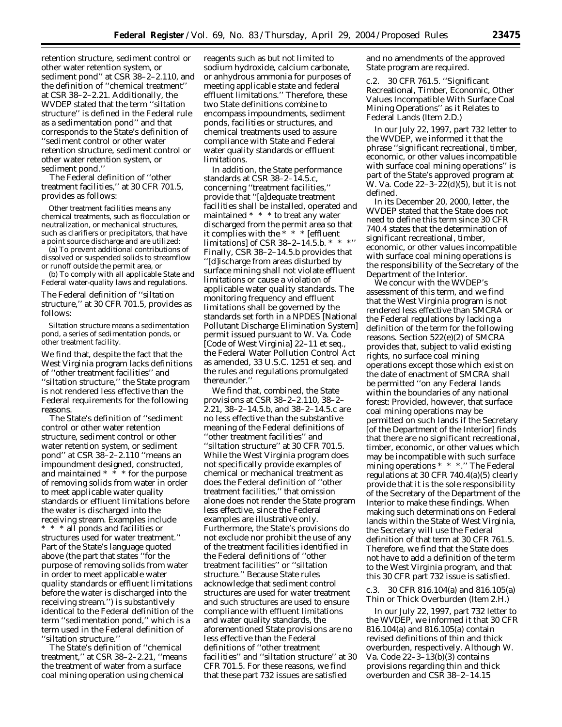retention structure, sediment control or other water retention system, or sediment pond'' at CSR 38–2–2.110, and the definition of ''chemical treatment'' at CSR 38–2–2.21. Additionally, the WVDEP stated that the term ''siltation structure'' is defined in the Federal rule as a sedimentation pond'' and that corresponds to the State's definition of ''sediment control or other water retention structure, sediment control or other water retention system, or sediment pond.''

The Federal definition of ''other treatment facilities,'' at 30 CFR 701.5, provides as follows:

Other treatment facilities means any chemical treatments, such as flocculation or neutralization, or mechanical structures, such as clarifiers or precipitators, that have a point source discharge and are utilized:

(a) To prevent additional contributions of dissolved or suspended solids to streamflow or runoff outside the permit area, or

(b) To comply with all applicable State and Federal water-quality laws and regulations.

The Federal definition of ''siltation structure,'' at 30 CFR 701.5, provides as follows:

Siltation structure means a sedimentation pond, a series of sedimentation ponds, or other treatment facility.

We find that, despite the fact that the West Virginia program lacks definitions of ''other treatment facilities'' and ''siltation structure,'' the State program is not rendered less effective than the Federal requirements for the following reasons.

The State's definition of ''sediment control or other water retention structure, sediment control or other water retention system, or sediment pond'' at CSR 38–2–2.110 ''means an impoundment designed, constructed, and maintained  $* * *$  for the purpose of removing solids from water in order to meet applicable water quality standards or effluent limitations before the water is discharged into the receiving stream. Examples include \* \* \* all ponds and facilities or structures used for water treatment.'' Part of the State's language quoted above (the part that states ''for the purpose of removing solids from water in order to meet applicable water quality standards or effluent limitations before the water is discharged into the receiving stream.'') is substantively identical to the Federal definition of the term ''sedimentation pond,'' which is a term used in the Federal definition of ''siltation structure.''

The State's definition of ''chemical treatment,'' at CSR 38–2–2.21, ''means the treatment of water from a surface coal mining operation using chemical

reagents such as but not limited to sodium hydroxide, calcium carbonate, or anhydrous ammonia for purposes of meeting applicable state and federal effluent limitations.'' Therefore, these two State definitions combine to encompass impoundments, sediment ponds, facilities or structures, and chemical treatments used to assure compliance with State and Federal water quality standards or effluent limitations.

In addition, the State performance standards at CSR 38–2–14.5.c, concerning ''treatment facilities,'' provide that ''[a]dequate treatment facilities shall be installed, operated and maintained \* \* \* to treat any water discharged from the permit area so that it complies with the  $* * *$  [effluent] limitations] of CSR 38-2-14.5.b.  $*$   $*$ Finally, CSR 38–2–14.5.b provides that ''[d]ischarge from areas disturbed by surface mining shall not violate effluent limitations or cause a violation of applicable water quality standards. The monitoring frequency and effluent limitations shall be governed by the standards set forth in a NPDES [National Pollutant Discharge Elimination System] permit issued pursuant to W. Va. Code [Code of West Virginia] 22–11 *et seq.*, the Federal Water Pollution Control Act as amended, 33 U.S.C. 1251 *et seq.* and the rules and regulations promulgated thereunder.''

We find that, combined, the State provisions at CSR 38–2–2.110, 38–2– 2.21, 38–2–14.5.b, and 38–2–14.5.c are no less effective than the substantive meaning of the Federal definitions of ''other treatment facilities'' and ''siltation structure'' at 30 CFR 701.5. While the West Virginia program does not specifically provide examples of chemical or mechanical treatment as does the Federal definition of ''other treatment facilities,'' that omission alone does not render the State program less effective, since the Federal examples are illustrative only. Furthermore, the State's provisions do not exclude nor prohibit the use of any of the treatment facilities identified in the Federal definitions of ''other treatment facilities'' or ''siltation structure.'' Because State rules acknowledge that sediment control structures are used for water treatment and such structures are used to ensure compliance with effluent limitations and water quality standards, the aforementioned State provisions are no less effective than the Federal definitions of ''other treatment facilities'' and ''siltation structure'' at 30 CFR 701.5. For these reasons, we find that these part 732 issues are satisfied

and no amendments of the approved State program are required.

c.2. 30 CFR 761.5. ''Significant Recreational, Timber, Economic, Other Values Incompatible With Surface Coal Mining Operations'' as it Relates to Federal Lands (Item 2.D.)

In our July 22, 1997, part 732 letter to the WVDEP, we informed it that the phrase ''significant recreational, timber, economic, or other values incompatible with surface coal mining operations'' is part of the State's approved program at W. Va. Code 22–3–22(d)(5), but it is not defined.

In its December 20, 2000, letter, the WVDEP stated that the State does not need to define this term since 30 CFR 740.4 states that the determination of significant recreational, timber, economic, or other values incompatible with surface coal mining operations is the responsibility of the Secretary of the Department of the Interior.

We concur with the WVDEP's assessment of this term, and we find that the West Virginia program is not rendered less effective than SMCRA or the Federal regulations by lacking a definition of the term for the following reasons. Section 522(e)(2) of SMCRA provides that, subject to valid existing rights, no surface coal mining operations except those which exist on the date of enactment of SMCRA shall be permitted ''on any Federal lands within the boundaries of any national forest: Provided, however, that surface coal mining operations may be permitted on such lands if the Secretary [of the Department of the Interior] finds that there are no significant recreational, timber, economic, or other values which may be incompatible with such surface mining operations \* \* \*.'' The Federal regulations at 30 CFR 740.4(a)(5) clearly provide that it is the sole responsibility of the Secretary of the Department of the Interior to make these findings. When making such determinations on Federal lands within the State of West Virginia, the Secretary will use the Federal definition of that term at 30 CFR 761.5. Therefore, we find that the State does not have to add a definition of the term to the West Virginia program, and that this 30 CFR part 732 issue is satisfied.

c.3. 30 CFR 816.104(a) and 816.105(a) Thin or Thick Overburden (Item 2.H.)

In our July 22, 1997, part 732 letter to the WVDEP, we informed it that 30 CFR 816.104(a) and 816.105(a) contain revised definitions of thin and thick overburden, respectively. Although W. Va. Code 22–3–13(b)(3) contains provisions regarding thin and thick overburden and CSR 38–2–14.15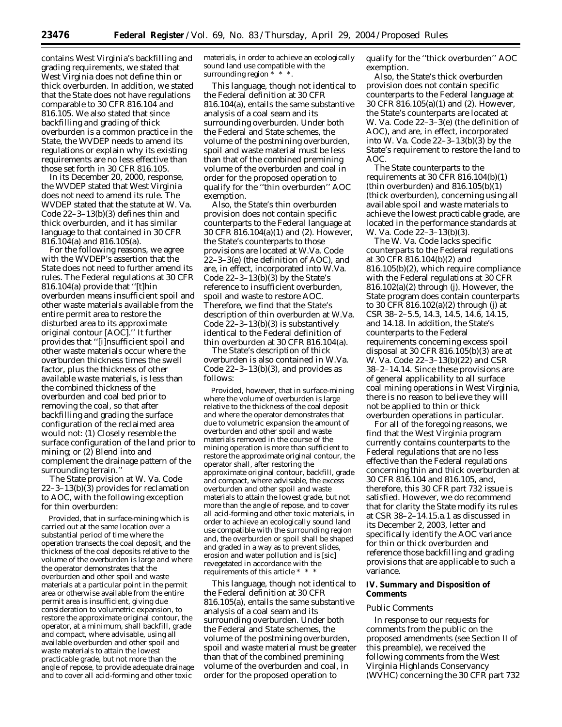contains West Virginia's backfilling and grading requirements, we stated that West Virginia does not define thin or thick overburden. In addition, we stated that the State does not have regulations comparable to 30 CFR 816.104 and 816.105. We also stated that since backfilling and grading of thick overburden is a common practice in the State, the WVDEP needs to amend its regulations or explain why its existing requirements are no less effective than those set forth in 30 CFR 816.105.

In its December 20, 2000, response, the WVDEP stated that West Virginia does not need to amend its rule. The WVDEP stated that the statute at W. Va. Code 22–3–13(b)(3) defines thin and thick overburden, and it has similar language to that contained in 30 CFR 816.104(a) and 816.105(a).

For the following reasons, we agree with the WVDEP's assertion that the State does not need to further amend its rules. The Federal regulations at 30 CFR 816.104(a) provide that ''[t]hin overburden means insufficient spoil and other waste materials available from the entire permit area to restore the disturbed area to its approximate original contour [AOC].'' It further provides that ''[i]nsufficient spoil and other waste materials occur where the overburden thickness times the swell factor, plus the thickness of other available waste materials, is less than the combined thickness of the overburden and coal bed prior to removing the coal, so that after backfilling and grading the surface configuration of the reclaimed area would not: (1) Closely resemble the surface configuration of the land prior to mining; or (2) Blend into and complement the drainage pattern of the surrounding terrain.''

The State provision at W. Va. Code 22–3–13(b)(3) provides for reclamation to AOC, with the following exception for thin overburden:

Provided, that in surface-mining which is carried out at the same location over a substantial period of time where the operation transects the coal deposit, and the thickness of the coal deposits relative to the volume of the overburden is large and where the operator demonstrates that the overburden and other spoil and waste materials at a particular point in the permit area or otherwise available from the entire permit area is insufficient, giving due consideration to volumetric expansion, to restore the approximate original contour, the operator, at a minimum, shall backfill, grade and compact, where advisable, using all available overburden and other spoil and waste materials to attain the lowest practicable grade, but not more than the angle of repose, to provide adequate drainage and to cover all acid-forming and other toxic

materials, in order to achieve an ecologically sound land use compatible with the surrounding region \* \* \*.

This language, though not identical to the Federal definition at 30 CFR 816.104(a), entails the same substantive analysis of a coal seam and its surrounding overburden. Under both the Federal and State schemes, the volume of the postmining overburden, spoil and waste material must be less than that of the combined premining volume of the overburden and coal in order for the proposed operation to qualify for the ''thin overburden'' AOC exemption.

Also, the State's thin overburden provision does not contain specific counterparts to the Federal language at 30 CFR 816.104(a)(1) and (2). However, the State's counterparts to those provisions are located at W.Va. Code 22–3–3(e) (the definition of AOC), and are, in effect, incorporated into W.Va. Code  $22-3-13(b)(3)$  by the State's reference to insufficient overburden, spoil and waste to restore AOC. Therefore, we find that the State's description of thin overburden at W.Va. Code 22–3–13(b)(3) is substantively identical to the Federal definition of thin overburden at 30 CFR 816.104(a).

The State's description of thick overburden is also contained in W.Va. Code 22–3–13(b)(3), and provides as follows:

Provided, however, that in surface-mining where the volume of overburden is large relative to the thickness of the coal deposit and where the operator demonstrates that due to volumetric expansion the amount of overburden and other spoil and waste materials removed in the course of the mining operation is more than sufficient to restore the approximate original contour, the operator shall, after restoring the approximate original contour, backfill, grade and compact, where advisable, the excess overburden and other spoil and waste materials to attain the lowest grade, but not more than the angle of repose, and to cover all acid-forming and other toxic materials, in order to achieve an ecologically sound land use compatible with the surrounding region and, the overburden or spoil shall be shaped and graded in a way as to prevent slides, erosion and water pollution and is [sic] revegetated in accordance with the requirements of this article \*

This language, though not identical to the Federal definition at 30 CFR 816.105(a), entails the same substantive analysis of a coal seam and its surrounding overburden. Under both the Federal and State schemes, the volume of the postmining overburden, spoil and waste material must be greater than that of the combined premining volume of the overburden and coal, in order for the proposed operation to

qualify for the ''thick overburden'' AOC exemption.

Also, the State's thick overburden provision does not contain specific counterparts to the Federal language at 30 CFR 816.105(a)(1) and (2). However, the State's counterparts are located at W. Va. Code 22–3–3(e) (the definition of AOC), and are, in effect, incorporated into W. Va. Code 22–3–13(b)(3) by the State's requirement to restore the land to AOC.

The State counterparts to the requirements at 30 CFR 816.104 $(b)(1)$ (thin overburden) and  $816.105(b)(1)$ (thick overburden), concerning using all available spoil and waste materials to achieve the lowest practicable grade, are located in the performance standards at W. Va. Code 22–3–13(b)(3).

The W. Va. Code lacks specific counterparts to the Federal regulations at 30 CFR 816.104(b)(2) and 816.105(b)(2), which require compliance with the Federal regulations at 30 CFR 816.102(a)(2) through (j). However, the State program does contain counterparts to 30 CFR 816.102(a)(2) through (j) at CSR 38–2–5.5, 14.3, 14.5, 14.6, 14.15, and 14.18. In addition, the State's counterparts to the Federal requirements concerning excess spoil disposal at 30 CFR 816.105(b)(3) are at W. Va. Code 22–3–13(b)(22) and CSR 38–2–14.14. Since these provisions are of general applicability to all surface coal mining operations in West Virginia, there is no reason to believe they will not be applied to thin or thick overburden operations in particular.

For all of the foregoing reasons, we find that the West Virginia program currently contains counterparts to the Federal regulations that are no less effective than the Federal regulations concerning thin and thick overburden at 30 CFR 816.104 and 816.105, and, therefore, this 30 CFR part 732 issue is satisfied. However, we do recommend that for clarity the State modify its rules at CSR 38–2–14.15.a.1 as discussed in its December 2, 2003, letter and specifically identify the AOC variance for thin or thick overburden and reference those backfilling and grading provisions that are applicable to such a variance.

## **IV. Summary and Disposition of Comments**

#### *Public Comments*

In response to our requests for comments from the public on the proposed amendments (see Section II of this preamble), we received the following comments from the West Virginia Highlands Conservancy (WVHC) concerning the 30 CFR part 732